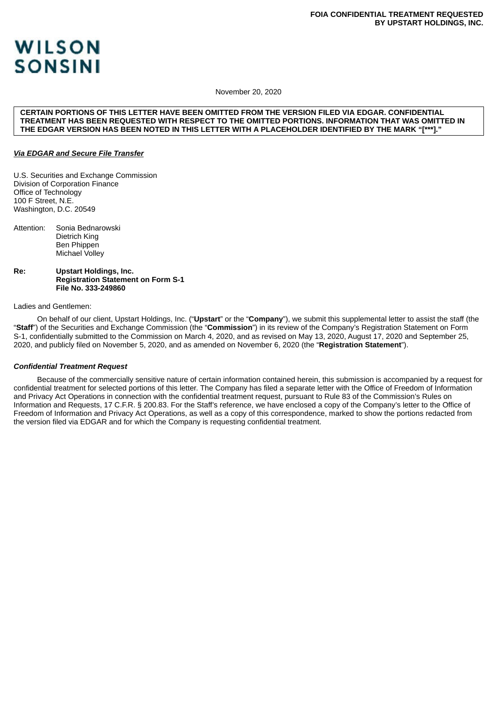# **WILSON SONSINI**

November 20, 2020

#### **CERTAIN PORTIONS OF THIS LETTER HAVE BEEN OMITTED FROM THE VERSION FILED VIA EDGAR. CONFIDENTIAL TREATMENT HAS BEEN REQUESTED WITH RESPECT TO THE OMITTED PORTIONS. INFORMATION THAT WAS OMITTED IN THE EDGAR VERSION HAS BEEN NOTED IN THIS LETTER WITH A PLACEHOLDER IDENTIFIED BY THE MARK "[\*\*\*]."**

# *Via EDGAR and Secure File Transfer*

U.S. Securities and Exchange Commission Division of Corporation Finance Office of Technology 100 F Street, N.E. Washington, D.C. 20549

Attention: Sonia Bednarowski Dietrich King Ben Phippen Michael Volley

**Re: Upstart Holdings, Inc. Registration Statement on Form S-1 File No. 333-249860**

# Ladies and Gentlemen:

On behalf of our client, Upstart Holdings, Inc. ("**Upstart**" or the "**Company**"), we submit this supplemental letter to assist the staff (the "**Staff**") of the Securities and Exchange Commission (the "**Commission**") in its review of the Company's Registration Statement on Form S-1, confidentially submitted to the Commission on March 4, 2020, and as revised on May 13, 2020, August 17, 2020 and September 25, 2020, and publicly filed on November 5, 2020, and as amended on November 6, 2020 (the "**Registration Statement**").

# *Confidential Treatment Request*

Because of the commercially sensitive nature of certain information contained herein, this submission is accompanied by a request for confidential treatment for selected portions of this letter. The Company has filed a separate letter with the Office of Freedom of Information and Privacy Act Operations in connection with the confidential treatment request, pursuant to Rule 83 of the Commission's Rules on Information and Requests, 17 C.F.R. § 200.83. For the Staff's reference, we have enclosed a copy of the Company's letter to the Office of Freedom of Information and Privacy Act Operations, as well as a copy of this correspondence, marked to show the portions redacted from the version filed via EDGAR and for which the Company is requesting confidential treatment.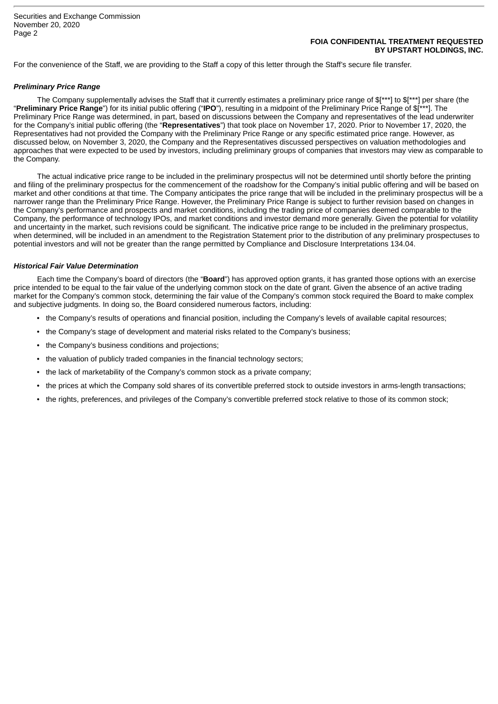# **FOIA CONFIDENTIAL TREATMENT REQUESTED BY UPSTART HOLDINGS, INC.**

For the convenience of the Staff, we are providing to the Staff a copy of this letter through the Staff's secure file transfer.

#### *Preliminary Price Range*

The Company supplementally advises the Staff that it currently estimates a preliminary price range of \$[\*\*\*] to \$[\*\*\*] per share (the "**Preliminary Price Range**") for its initial public offering ("**IPO**"), resulting in a midpoint of the Preliminary Price Range of \$[\*\*\*]. The Preliminary Price Range was determined, in part, based on discussions between the Company and representatives of the lead underwriter for the Company's initial public offering (the "**Representatives**") that took place on November 17, 2020. Prior to November 17, 2020, the Representatives had not provided the Company with the Preliminary Price Range or any specific estimated price range. However, as discussed below, on November 3, 2020, the Company and the Representatives discussed perspectives on valuation methodologies and approaches that were expected to be used by investors, including preliminary groups of companies that investors may view as comparable to the Company.

The actual indicative price range to be included in the preliminary prospectus will not be determined until shortly before the printing and filing of the preliminary prospectus for the commencement of the roadshow for the Company's initial public offering and will be based on market and other conditions at that time. The Company anticipates the price range that will be included in the preliminary prospectus will be a narrower range than the Preliminary Price Range. However, the Preliminary Price Range is subject to further revision based on changes in the Company's performance and prospects and market conditions, including the trading price of companies deemed comparable to the Company, the performance of technology IPOs, and market conditions and investor demand more generally. Given the potential for volatility and uncertainty in the market, such revisions could be significant. The indicative price range to be included in the preliminary prospectus, when determined, will be included in an amendment to the Registration Statement prior to the distribution of any preliminary prospectuses to potential investors and will not be greater than the range permitted by Compliance and Disclosure Interpretations 134.04.

#### *Historical Fair Value Determination*

Each time the Company's board of directors (the "**Board**") has approved option grants, it has granted those options with an exercise price intended to be equal to the fair value of the underlying common stock on the date of grant. Given the absence of an active trading market for the Company's common stock, determining the fair value of the Company's common stock required the Board to make complex and subjective judgments. In doing so, the Board considered numerous factors, including:

- the Company's results of operations and financial position, including the Company's levels of available capital resources;
- the Company's stage of development and material risks related to the Company's business;
- the Company's business conditions and projections;
- the valuation of publicly traded companies in the financial technology sectors;
- the lack of marketability of the Company's common stock as a private company;
- the prices at which the Company sold shares of its convertible preferred stock to outside investors in arms-length transactions;
- the rights, preferences, and privileges of the Company's convertible preferred stock relative to those of its common stock;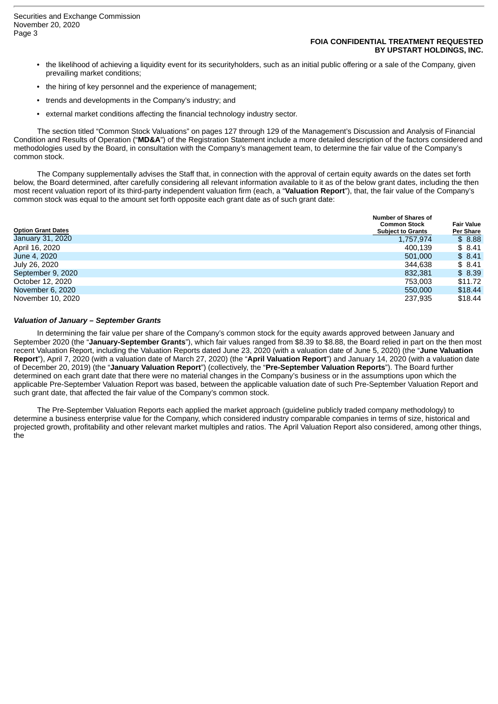#### **FOIA CONFIDENTIAL TREATMENT REQUESTED BY UPSTART HOLDINGS, INC.**

- the likelihood of achieving a liquidity event for its securityholders, such as an initial public offering or a sale of the Company, given prevailing market conditions;
- the hiring of key personnel and the experience of management;
- trends and developments in the Company's industry; and
- external market conditions affecting the financial technology industry sector.

The section titled "Common Stock Valuations" on pages 127 through 129 of the Management's Discussion and Analysis of Financial Condition and Results of Operation ("**MD&A**") of the Registration Statement include a more detailed description of the factors considered and methodologies used by the Board, in consultation with the Company's management team, to determine the fair value of the Company's common stock.

The Company supplementally advises the Staff that, in connection with the approval of certain equity awards on the dates set forth below, the Board determined, after carefully considering all relevant information available to it as of the below grant dates, including the then most recent valuation report of its third-party independent valuation firm (each, a "**Valuation Report**"), that, the fair value of the Company's common stock was equal to the amount set forth opposite each grant date as of such grant date:

| <b>Option Grant Dates</b> | <b>Number of Shares of</b><br><b>Common Stock</b><br><b>Subject to Grants</b> | <b>Fair Value</b><br>Per Share |
|---------------------------|-------------------------------------------------------------------------------|--------------------------------|
| January 31, 2020          | 1,757,974                                                                     | \$8.88                         |
| April 16, 2020            | 400.139                                                                       | \$8.41                         |
| June 4, 2020              | 501,000                                                                       | \$8.41                         |
| July 26, 2020             | 344.638                                                                       | \$8.41                         |
| September 9, 2020         | 832.381                                                                       | \$8.39                         |
| October 12, 2020          | 753.003                                                                       | \$11.72                        |
| November 6, 2020          | 550,000                                                                       | \$18.44                        |
| November 10, 2020         | 237.935                                                                       | \$18.44                        |

# *Valuation of January – September Grants*

In determining the fair value per share of the Company's common stock for the equity awards approved between January and September 2020 (the "**January-September Grants**"), which fair values ranged from \$8.39 to \$8.88, the Board relied in part on the then most recent Valuation Report, including the Valuation Reports dated June 23, 2020 (with a valuation date of June 5, 2020) (the "**June Valuation Report**"), April 7, 2020 (with a valuation date of March 27, 2020) (the "**April Valuation Report**") and January 14, 2020 (with a valuation date of December 20, 2019) (the "**January Valuation Report**") (collectively, the "**Pre-September Valuation Reports**"). The Board further determined on each grant date that there were no material changes in the Company's business or in the assumptions upon which the applicable Pre-September Valuation Report was based, between the applicable valuation date of such Pre-September Valuation Report and such grant date, that affected the fair value of the Company's common stock.

The Pre-September Valuation Reports each applied the market approach (guideline publicly traded company methodology) to determine a business enterprise value for the Company, which considered industry comparable companies in terms of size, historical and projected growth, profitability and other relevant market multiples and ratios. The April Valuation Report also considered, among other things, the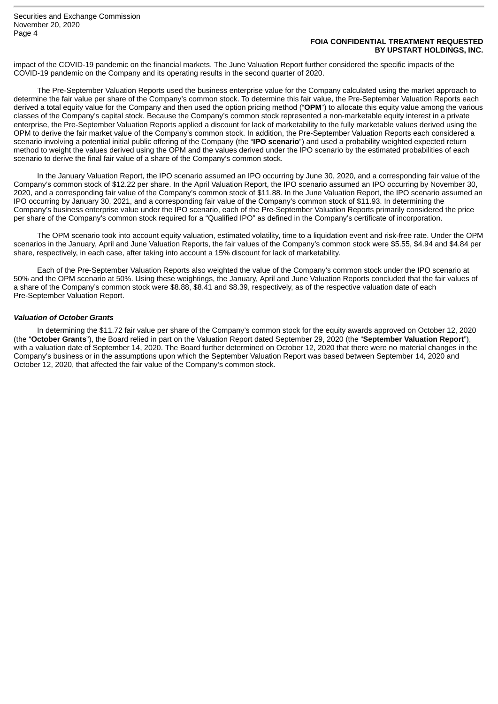## **FOIA CONFIDENTIAL TREATMENT REQUESTED BY UPSTART HOLDINGS, INC.**

impact of the COVID-19 pandemic on the financial markets. The June Valuation Report further considered the specific impacts of the COVID-19 pandemic on the Company and its operating results in the second quarter of 2020.

The Pre-September Valuation Reports used the business enterprise value for the Company calculated using the market approach to determine the fair value per share of the Company's common stock. To determine this fair value, the Pre-September Valuation Reports each derived a total equity value for the Company and then used the option pricing method ("**OPM**") to allocate this equity value among the various classes of the Company's capital stock. Because the Company's common stock represented a non-marketable equity interest in a private enterprise, the Pre-September Valuation Reports applied a discount for lack of marketability to the fully marketable values derived using the OPM to derive the fair market value of the Company's common stock. In addition, the Pre-September Valuation Reports each considered a scenario involving a potential initial public offering of the Company (the "**IPO scenario**") and used a probability weighted expected return method to weight the values derived using the OPM and the values derived under the IPO scenario by the estimated probabilities of each scenario to derive the final fair value of a share of the Company's common stock.

In the January Valuation Report, the IPO scenario assumed an IPO occurring by June 30, 2020, and a corresponding fair value of the Company's common stock of \$12.22 per share. In the April Valuation Report, the IPO scenario assumed an IPO occurring by November 30, 2020, and a corresponding fair value of the Company's common stock of \$11.88. In the June Valuation Report, the IPO scenario assumed an IPO occurring by January 30, 2021, and a corresponding fair value of the Company's common stock of \$11.93. In determining the Company's business enterprise value under the IPO scenario, each of the Pre-September Valuation Reports primarily considered the price per share of the Company's common stock required for a "Qualified IPO" as defined in the Company's certificate of incorporation.

The OPM scenario took into account equity valuation, estimated volatility, time to a liquidation event and risk-free rate. Under the OPM scenarios in the January, April and June Valuation Reports, the fair values of the Company's common stock were \$5.55, \$4.94 and \$4.84 per share, respectively, in each case, after taking into account a 15% discount for lack of marketability.

Each of the Pre-September Valuation Reports also weighted the value of the Company's common stock under the IPO scenario at 50% and the OPM scenario at 50%. Using these weightings, the January, April and June Valuation Reports concluded that the fair values of a share of the Company's common stock were \$8.88, \$8.41 and \$8.39, respectively, as of the respective valuation date of each Pre-September Valuation Report.

# *Valuation of October Grants*

In determining the \$11.72 fair value per share of the Company's common stock for the equity awards approved on October 12, 2020 (the "**October Grants**"), the Board relied in part on the Valuation Report dated September 29, 2020 (the "**September Valuation Report**"), with a valuation date of September 14, 2020. The Board further determined on October 12, 2020 that there were no material changes in the Company's business or in the assumptions upon which the September Valuation Report was based between September 14, 2020 and October 12, 2020, that affected the fair value of the Company's common stock.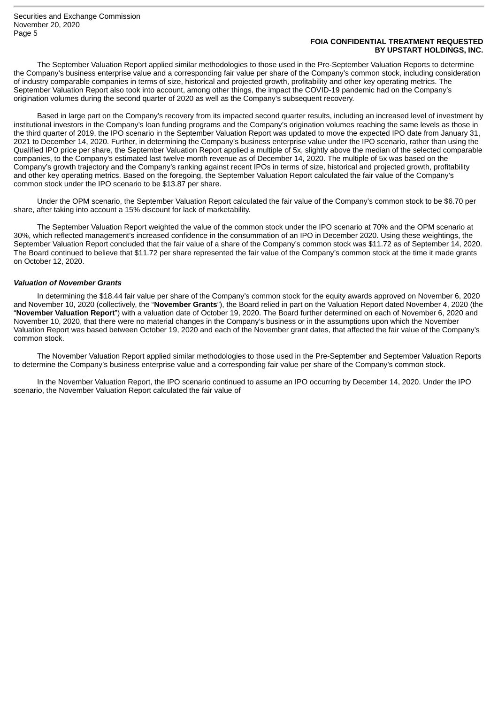# **FOIA CONFIDENTIAL TREATMENT REQUESTED BY UPSTART HOLDINGS, INC.**

The September Valuation Report applied similar methodologies to those used in the Pre-September Valuation Reports to determine the Company's business enterprise value and a corresponding fair value per share of the Company's common stock, including consideration of industry comparable companies in terms of size, historical and projected growth, profitability and other key operating metrics. The September Valuation Report also took into account, among other things, the impact the COVID-19 pandemic had on the Company's origination volumes during the second quarter of 2020 as well as the Company's subsequent recovery.

Based in large part on the Company's recovery from its impacted second quarter results, including an increased level of investment by institutional investors in the Company's loan funding programs and the Company's origination volumes reaching the same levels as those in the third quarter of 2019, the IPO scenario in the September Valuation Report was updated to move the expected IPO date from January 31, 2021 to December 14, 2020. Further, in determining the Company's business enterprise value under the IPO scenario, rather than using the Qualified IPO price per share, the September Valuation Report applied a multiple of 5x, slightly above the median of the selected comparable companies, to the Company's estimated last twelve month revenue as of December 14, 2020. The multiple of 5x was based on the Company's growth trajectory and the Company's ranking against recent IPOs in terms of size, historical and projected growth, profitability and other key operating metrics. Based on the foregoing, the September Valuation Report calculated the fair value of the Company's common stock under the IPO scenario to be \$13.87 per share.

Under the OPM scenario, the September Valuation Report calculated the fair value of the Company's common stock to be \$6.70 per share, after taking into account a 15% discount for lack of marketability.

The September Valuation Report weighted the value of the common stock under the IPO scenario at 70% and the OPM scenario at 30%, which reflected management's increased confidence in the consummation of an IPO in December 2020. Using these weightings, the September Valuation Report concluded that the fair value of a share of the Company's common stock was \$11.72 as of September 14, 2020. The Board continued to believe that \$11.72 per share represented the fair value of the Company's common stock at the time it made grants on October 12, 2020.

#### *Valuation of November Grants*

In determining the \$18.44 fair value per share of the Company's common stock for the equity awards approved on November 6, 2020 and November 10, 2020 (collectively, the "**November Grants**"), the Board relied in part on the Valuation Report dated November 4, 2020 (the "**November Valuation Report**") with a valuation date of October 19, 2020. The Board further determined on each of November 6, 2020 and November 10, 2020, that there were no material changes in the Company's business or in the assumptions upon which the November Valuation Report was based between October 19, 2020 and each of the November grant dates, that affected the fair value of the Company's common stock.

The November Valuation Report applied similar methodologies to those used in the Pre-September and September Valuation Reports to determine the Company's business enterprise value and a corresponding fair value per share of the Company's common stock.

In the November Valuation Report, the IPO scenario continued to assume an IPO occurring by December 14, 2020. Under the IPO scenario, the November Valuation Report calculated the fair value of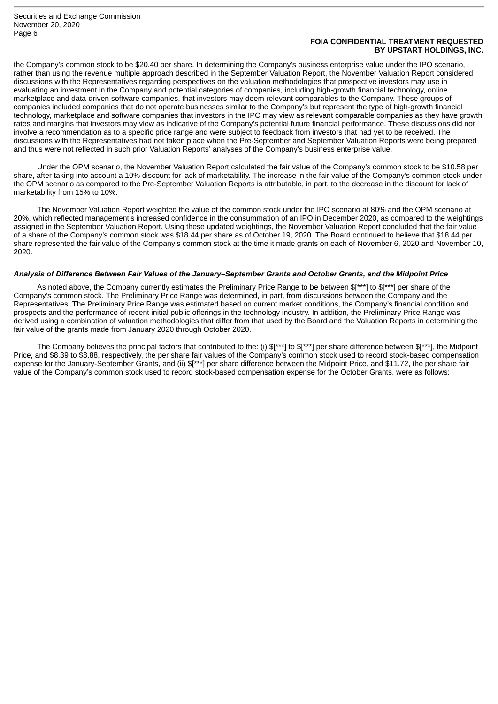# **FOIA CONFIDENTIAL TREATMENT REQUESTED BY UPSTART HOLDINGS, INC.**

the Company's common stock to be \$20.40 per share. In determining the Company's business enterprise value under the IPO scenario, rather than using the revenue multiple approach described in the September Valuation Report, the November Valuation Report considered discussions with the Representatives regarding perspectives on the valuation methodologies that prospective investors may use in evaluating an investment in the Company and potential categories of companies, including high-growth financial technology, online marketplace and data-driven software companies, that investors may deem relevant comparables to the Company. These groups of companies included companies that do not operate businesses similar to the Company's but represent the type of high-growth financial technology, marketplace and software companies that investors in the IPO may view as relevant comparable companies as they have growth rates and margins that investors may view as indicative of the Company's potential future financial performance. These discussions did not involve a recommendation as to a specific price range and were subject to feedback from investors that had yet to be received. The discussions with the Representatives had not taken place when the Pre-September and September Valuation Reports were being prepared and thus were not reflected in such prior Valuation Reports' analyses of the Company's business enterprise value.

Under the OPM scenario, the November Valuation Report calculated the fair value of the Company's common stock to be \$10.58 per share, after taking into account a 10% discount for lack of marketability. The increase in the fair value of the Company's common stock under the OPM scenario as compared to the Pre-September Valuation Reports is attributable, in part, to the decrease in the discount for lack of marketability from 15% to 10%.

The November Valuation Report weighted the value of the common stock under the IPO scenario at 80% and the OPM scenario at 20%, which reflected management's increased confidence in the consummation of an IPO in December 2020, as compared to the weightings assigned in the September Valuation Report. Using these updated weightings, the November Valuation Report concluded that the fair value of a share of the Company's common stock was \$18.44 per share as of October 19, 2020. The Board continued to believe that \$18.44 per share represented the fair value of the Company's common stock at the time it made grants on each of November 6, 2020 and November 10, 2020.

#### Analysis of Difference Between Fair Values of the January-September Grants and October Grants, and the Midpoint Price

As noted above, the Company currently estimates the Preliminary Price Range to be between \$[\*\*\*] to \$[\*\*\*] per share of the Company's common stock. The Preliminary Price Range was determined, in part, from discussions between the Company and the Representatives. The Preliminary Price Range was estimated based on current market conditions, the Company's financial condition and prospects and the performance of recent initial public offerings in the technology industry. In addition, the Preliminary Price Range was derived using a combination of valuation methodologies that differ from that used by the Board and the Valuation Reports in determining the fair value of the grants made from January 2020 through October 2020.

The Company believes the principal factors that contributed to the: (i) \$[\*\*\*] to \$[\*\*\*] per share difference between \$[\*\*\*], the Midpoint Price, and \$8.39 to \$8.88, respectively, the per share fair values of the Company's common stock used to record stock-based compensation expense for the January-September Grants, and (ii) \$[\*\*\*] per share difference between the Midpoint Price, and \$11.72, the per share fair value of the Company's common stock used to record stock-based compensation expense for the October Grants, were as follows: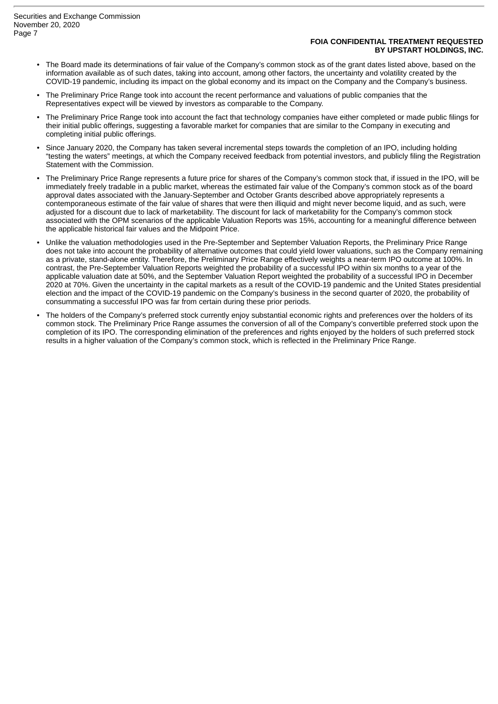## **FOIA CONFIDENTIAL TREATMENT REQUESTED BY UPSTART HOLDINGS, INC.**

- The Board made its determinations of fair value of the Company's common stock as of the grant dates listed above, based on the information available as of such dates, taking into account, among other factors, the uncertainty and volatility created by the COVID-19 pandemic, including its impact on the global economy and its impact on the Company and the Company's business.
- The Preliminary Price Range took into account the recent performance and valuations of public companies that the Representatives expect will be viewed by investors as comparable to the Company.
- The Preliminary Price Range took into account the fact that technology companies have either completed or made public filings for their initial public offerings, suggesting a favorable market for companies that are similar to the Company in executing and completing initial public offerings.
- Since January 2020, the Company has taken several incremental steps towards the completion of an IPO, including holding "testing the waters" meetings, at which the Company received feedback from potential investors, and publicly filing the Registration Statement with the Commission.
- The Preliminary Price Range represents a future price for shares of the Company's common stock that, if issued in the IPO, will be immediately freely tradable in a public market, whereas the estimated fair value of the Company's common stock as of the board approval dates associated with the January-September and October Grants described above appropriately represents a contemporaneous estimate of the fair value of shares that were then illiquid and might never become liquid, and as such, were adjusted for a discount due to lack of marketability. The discount for lack of marketability for the Company's common stock associated with the OPM scenarios of the applicable Valuation Reports was 15%, accounting for a meaningful difference between the applicable historical fair values and the Midpoint Price.
- Unlike the valuation methodologies used in the Pre-September and September Valuation Reports, the Preliminary Price Range does not take into account the probability of alternative outcomes that could yield lower valuations, such as the Company remaining as a private, stand-alone entity. Therefore, the Preliminary Price Range effectively weights a near-term IPO outcome at 100%. In contrast, the Pre-September Valuation Reports weighted the probability of a successful IPO within six months to a year of the applicable valuation date at 50%, and the September Valuation Report weighted the probability of a successful IPO in December 2020 at 70%. Given the uncertainty in the capital markets as a result of the COVID-19 pandemic and the United States presidential election and the impact of the COVID-19 pandemic on the Company's business in the second quarter of 2020, the probability of consummating a successful IPO was far from certain during these prior periods.
- The holders of the Company's preferred stock currently enjoy substantial economic rights and preferences over the holders of its common stock. The Preliminary Price Range assumes the conversion of all of the Company's convertible preferred stock upon the completion of its IPO. The corresponding elimination of the preferences and rights enjoyed by the holders of such preferred stock results in a higher valuation of the Company's common stock, which is reflected in the Preliminary Price Range.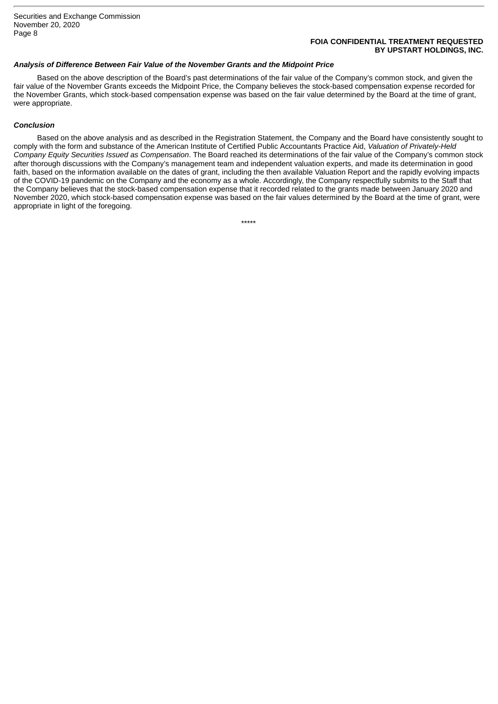# **FOIA CONFIDENTIAL TREATMENT REQUESTED BY UPSTART HOLDINGS, INC.**

## *Analysis of Difference Between Fair Value of the November Grants and the Midpoint Price*

Based on the above description of the Board's past determinations of the fair value of the Company's common stock, and given the fair value of the November Grants exceeds the Midpoint Price, the Company believes the stock-based compensation expense recorded for the November Grants, which stock-based compensation expense was based on the fair value determined by the Board at the time of grant, were appropriate.

# *Conclusion*

Based on the above analysis and as described in the Registration Statement, the Company and the Board have consistently sought to comply with the form and substance of the American Institute of Certified Public Accountants Practice Aid, *Valuation of Privately-Held Company Equity Securities Issued as Compensation*. The Board reached its determinations of the fair value of the Company's common stock after thorough discussions with the Company's management team and independent valuation experts, and made its determination in good faith, based on the information available on the dates of grant, including the then available Valuation Report and the rapidly evolving impacts of the COVID-19 pandemic on the Company and the economy as a whole. Accordingly, the Company respectfully submits to the Staff that the Company believes that the stock-based compensation expense that it recorded related to the grants made between January 2020 and November 2020, which stock-based compensation expense was based on the fair values determined by the Board at the time of grant, were appropriate in light of the foregoing.

\*\*\*\*\*